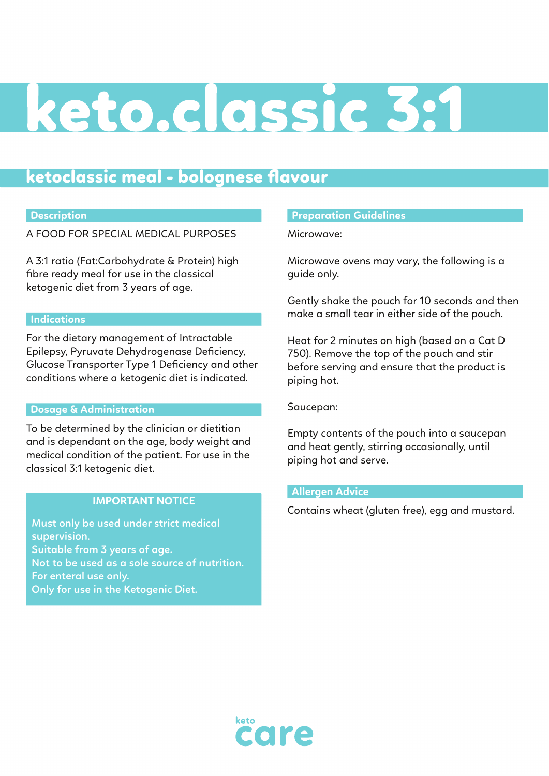# keto.classic 3:1

## ketoclassic meal - bolognese flavour

## **Description**

A FOOD FOR SPECIAL MEDICAL PURPOSES

A 3:1 ratio (Fat:Carbohydrate & Protein) high fibre ready meal for use in the classical ketogenic diet from 3 years of age.

#### **Indications**

For the dietary management of Intractable Epilepsy, Pyruvate Dehydrogenase Deficiency, Glucose Transporter Type 1 Deficiency and other conditions where a ketogenic diet is indicated.

#### **Dosage & Administration**

To be determined by the clinician or dietitian and is dependant on the age, body weight and medical condition of the patient. For use in the classical 3:1 ketogenic diet.

## **IMPORTANT NOTICE**

**Must only be used under strict medical supervision. Suitable from 3 years of age. Not to be used as a sole source of nutrition. For enteral use only. Only for use in the Ketogenic Diet.**

#### **Preparation Guidelines**

Microwave:

Microwave ovens may vary, the following is a guide only.

Gently shake the pouch for 10 seconds and then make a small tear in either side of the pouch.

Heat for 2 minutes on high (based on a Cat D 750). Remove the top of the pouch and stir before serving and ensure that the product is piping hot.

Saucepan:

Empty contents of the pouch into a saucepan and heat gently, stirring occasionally, until piping hot and serve.

## **Allergen Advice**

Contains wheat (gluten free), egg and mustard.